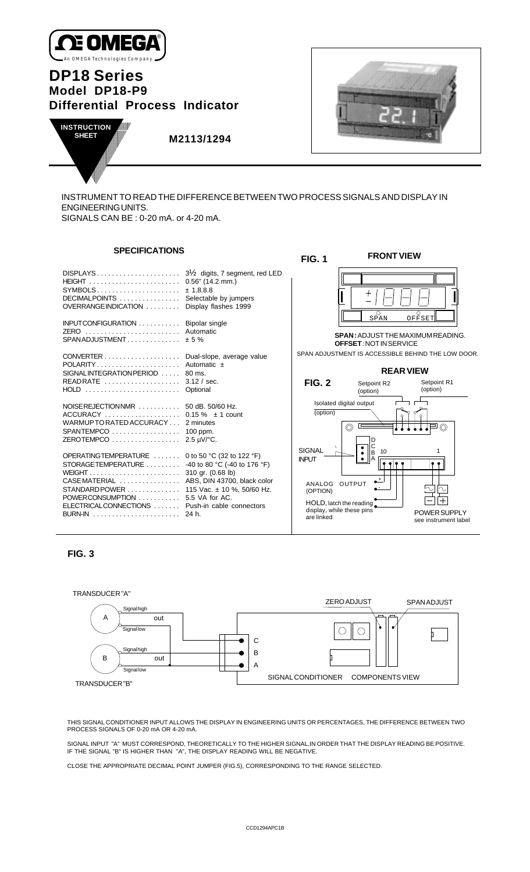

# **DP18 Series Model DP18-P9 Differential Process Indicator**



**FRONT VIEW**



 **M2113/1294**

INSTRUMENT TO READ THE DIFFERENCE BETWEEN TWO PROCESS SIGNALS AND DISPLAY IN ENGINEERING UNITS. SIGNALS CAN BE : 0-20 mA. or 4-20 mA.

**FIG. 1**

# **SPECIFICATIONS**

|                                                                                                                                                                                                                                                                                                                                                                    |                                                        | FIV. I                                                                                                                |                                                                                   |                                                                               |
|--------------------------------------------------------------------------------------------------------------------------------------------------------------------------------------------------------------------------------------------------------------------------------------------------------------------------------------------------------------------|--------------------------------------------------------|-----------------------------------------------------------------------------------------------------------------------|-----------------------------------------------------------------------------------|-------------------------------------------------------------------------------|
| DECIMALPOINTS  Selectable by jumpers<br>OVERRANGE INDICATION  Display flashes 1999                                                                                                                                                                                                                                                                                 | $3\frac{1}{2}$ digits, 7 segment, red LED<br>± 1.8.8.8 |                                                                                                                       | $\circ$                                                                           | Ω                                                                             |
| INPUTCONFIGURATION  Bipolar single<br>ZERO  Automatic<br>$SPANADJUSTMENT$ $± 5\%$                                                                                                                                                                                                                                                                                  |                                                        |                                                                                                                       | SPAN<br><b>SPAN: ADJUST THE MAXIMUM READING.</b><br><b>OFFSET: NOT IN SERVICE</b> | OFFSET                                                                        |
| CONVERTER Dual-slope, average value<br>POLARITY Automatic ±<br>SIGNAL INTEGRATION PERIOD 80 ms.<br>READRATE  3.12 / sec.<br>HOLD  Optional                                                                                                                                                                                                                         |                                                        | <b>FIG. 2</b>                                                                                                         | <b>REAR VIEW</b><br>Setpoint R2<br>(option)                                       | SPAN ADJUSTMENT IS ACCESSIBLE BEHIND THE LOW DOOR.<br>Setpoint R1<br>(option) |
| NOISE REJECTION NMR 50 dB, 50/60 Hz.<br>WARMUP TO RATED ACCURACY 2 minutes<br>SPANTEMPCO  100 ppm.<br>ZEROTEMPCO 2.5 µV/°C.                                                                                                                                                                                                                                        |                                                        | Isolated digital output<br>(option)<br>$\circledcirc$<br><b>SIGNAL</b>                                                | D<br>C<br>10                                                                      |                                                                               |
| OPERATINGTEMPERATURE  0 to 50 °C (32 to 122 °F)<br>STORAGETEMPERATURE $\ldots \ldots \ldots$ -40 to 80 °C (-40 to 176 °F)<br>CASE MATERIAL  ABS, DIN 43700, black color<br>STANDARD POWER 115 Vac. ± 10 %, 50/60 Hz.<br>POWERCONSUMPTION  5.5 VA for AC.<br>ELECTRICALCONNECTIONS  Push-in cable connectors<br>BURN-IN $\dots\dots\dots\dots\dots\dots\dots$ 24 h. |                                                        | <b>INPUT</b><br>OUTPUT<br>ANALOG<br>(OPTION)<br>$HOLD$ , latch the reading<br>display, while these pins<br>are linked | ΙB                                                                                | $\sim$<br>∿<br>POWER SUPPLY<br>see instrument label                           |





THIS SIGNAL CONDITIONER INPUT ALLOWS THE DISPLAY IN ENGINEERING UNITS OR PERCENTAGES, THE DIFFERENCE BETWEEN TWO PROCESS SIGNALS OF 0-20 mA OR 4-20 mA.

SIGNAL INPUT "A" MUST CORRESPOND, THEORETICALLY TO THE HIGHER SIGNAL,IN ORDER THAT THE DISPLAY READING BE POSITIVE. IF THE SIGNAL "B" IS HIGHER THAN "A", THE DISPLAY READING WILL BE NEGATIVE.

CLOSE THE APPROPRIATE DECIMAL POINT JUMPER (FIG.5), CORRESPONDING TO THE RANGE SELECTED.